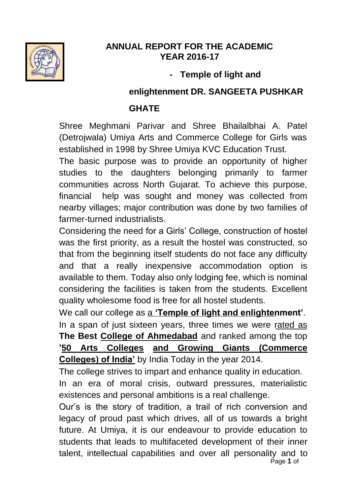

## **ANNUAL REPORT FOR THE ACADEMIC YEAR 2016-17**

## **- Temple of light and**

#### **enlightenment DR. SANGEETA PUSHKAR**

## **GHATE**

Shree Meghmani Parivar and Shree Bhailalbhai A. Patel (Detrojwala) Umiya Arts and Commerce College for Girls was established in 1998 by Shree Umiya KVC Education Trust.

The basic purpose was to provide an opportunity of higher studies to the daughters belonging primarily to farmer communities across North Gujarat. To achieve this purpose, financial help was sought and money was collected from nearby villages; major contribution was done by two families of farmer-turned industrialists.

Considering the need for a Girls" College, construction of hostel was the first priority, as a result the hostel was constructed, so that from the beginning itself students do not face any difficulty and that a really inexpensive accommodation option is available to them. Today also only lodging fee, which is nominal considering the facilities is taken from the students. Excellent quality wholesome food is free for all hostel students.

We call our college as a **'Temple of light and enlightenment'**. In a span of just sixteen years, three times we were rated as **The Best College of Ahmedabad** and ranked among the top **'50 Arts Colleges and Growing Giants (Commerce Colleges) of India'** by India Today in the year 2014.

The college strives to impart and enhance quality in education.

In an era of moral crisis, outward pressures, materialistic existences and personal ambitions is a real challenge.

Page **1** of Our"s is the story of tradition, a trail of rich conversion and legacy of proud past which drives, all of us towards a bright future. At Umiya, it is our endeavour to provide education to students that leads to multifaceted development of their inner talent, intellectual capabilities and over all personality and to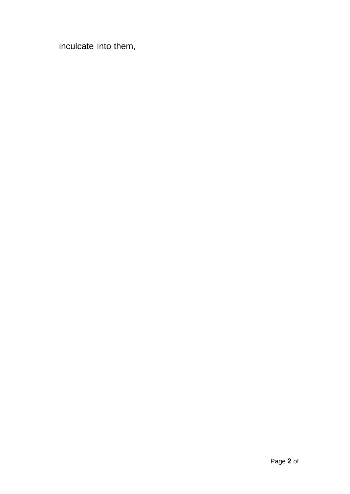inculcate into them,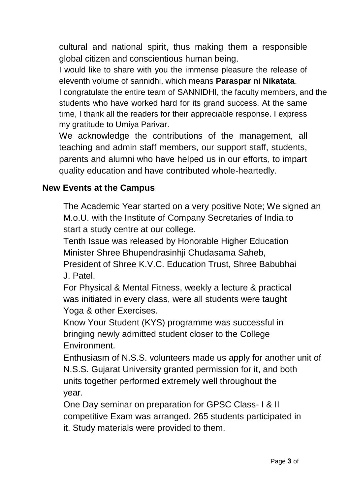cultural and national spirit, thus making them a responsible global citizen and conscientious human being.

I would like to share with you the immense pleasure the release of eleventh volume of sannidhi, which means **Paraspar ni Nikatata**. I congratulate the entire team of SANNIDHI, the faculty members, and the students who have worked hard for its grand success. At the same time, I thank all the readers for their appreciable response. I express my gratitude to Umiya Parivar.

We acknowledge the contributions of the management, all teaching and admin staff members, our support staff, students, parents and alumni who have helped us in our efforts, to impart quality education and have contributed whole-heartedly.

## **New Events at the Campus**

The Academic Year started on a very positive Note; We signed an M.o.U. with the Institute of Company Secretaries of India to start a study centre at our college.

Tenth Issue was released by Honorable Higher Education Minister Shree Bhupendrasinhji Chudasama Saheb,

President of Shree K.V.C. Education Trust, Shree Babubhai J. Patel.

For Physical & Mental Fitness, weekly a lecture & practical was initiated in every class, were all students were taught Yoga & other Exercises.

Know Your Student (KYS) programme was successful in bringing newly admitted student closer to the College Environment.

Enthusiasm of N.S.S. volunteers made us apply for another unit of N.S.S. Gujarat University granted permission for it, and both units together performed extremely well throughout the year.

One Day seminar on preparation for GPSC Class- I & II competitive Exam was arranged. 265 students participated in it. Study materials were provided to them.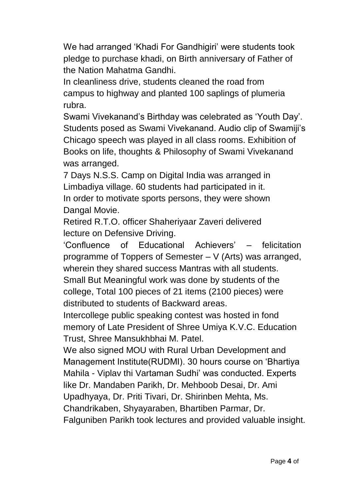We had arranged 'Khadi For Gandhigiri' were students took pledge to purchase khadi, on Birth anniversary of Father of the Nation Mahatma Gandhi.

In cleanliness drive, students cleaned the road from campus to highway and planted 100 saplings of plumeria rubra.

Swami Vivekanand"s Birthday was celebrated as "Youth Day". Students posed as Swami Vivekanand. Audio clip of Swamiji"s Chicago speech was played in all class rooms. Exhibition of Books on life, thoughts & Philosophy of Swami Vivekanand was arranged.

7 Days N.S.S. Camp on Digital India was arranged in Limbadiya village. 60 students had participated in it. In order to motivate sports persons, they were shown Dangal Movie.

Retired R.T.O. officer Shaheriyaar Zaveri delivered lecture on Defensive Driving.

"Confluence of Educational Achievers" – felicitation programme of Toppers of Semester – V (Arts) was arranged, wherein they shared success Mantras with all students.

Small But Meaningful work was done by students of the college, Total 100 pieces of 21 items (2100 pieces) were distributed to students of Backward areas.

Intercollege public speaking contest was hosted in fond memory of Late President of Shree Umiya K.V.C. Education Trust, Shree Mansukhbhai M. Patel.

We also signed MOU with Rural Urban Development and Management Institute(RUDMI). 30 hours course on "Bhartiya Mahila - Viplav thi Vartaman Sudhi" was conducted. Experts like Dr. Mandaben Parikh, Dr. Mehboob Desai, Dr. Ami Upadhyaya, Dr. Priti Tivari, Dr. Shirinben Mehta, Ms. Chandrikaben, Shyayaraben, Bhartiben Parmar, Dr. Falguniben Parikh took lectures and provided valuable insight.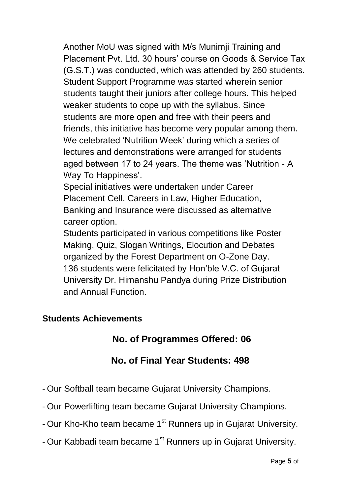Another MoU was signed with M/s Munimji Training and Placement Pvt. Ltd. 30 hours" course on Goods & Service Tax (G.S.T.) was conducted, which was attended by 260 students. Student Support Programme was started wherein senior students taught their juniors after college hours. This helped weaker students to cope up with the syllabus. Since students are more open and free with their peers and friends, this initiative has become very popular among them. We celebrated "Nutrition Week" during which a series of lectures and demonstrations were arranged for students aged between 17 to 24 years. The theme was "Nutrition - A Way To Happiness'.

Special initiatives were undertaken under Career Placement Cell. Careers in Law, Higher Education, Banking and Insurance were discussed as alternative career option.

Students participated in various competitions like Poster Making, Quiz, Slogan Writings, Elocution and Debates organized by the Forest Department on O-Zone Day. 136 students were felicitated by Hon"ble V.C. of Gujarat University Dr. Himanshu Pandya during Prize Distribution and Annual Function.

#### **Students Achievements**

# **No. of Programmes Offered: 06**

# **No. of Final Year Students: 498**

- Our Softball team became Gujarat University Champions.
- Our Powerlifting team became Gujarat University Champions.
- Our Kho-Kho team became 1<sup>st</sup> Runners up in Gujarat University.
- Our Kabbadi team became 1<sup>st</sup> Runners up in Gujarat University.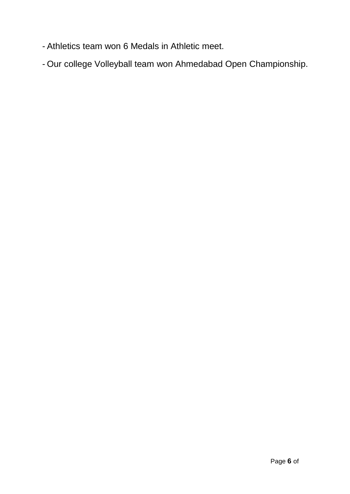- Athletics team won 6 Medals in Athletic meet.
- Our college Volleyball team won Ahmedabad Open Championship.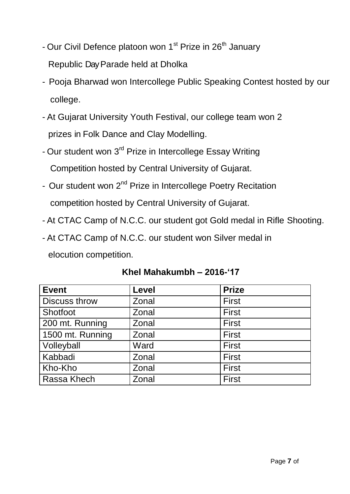- Our Civil Defence platoon won 1<sup>st</sup> Prize in 26<sup>th</sup> January Republic Day Parade held at Dholka
- Pooja Bharwad won Intercollege Public Speaking Contest hosted by our college.
- At Gujarat University Youth Festival, our college team won 2 prizes in Folk Dance and Clay Modelling.
- Our student won 3<sup>rd</sup> Prize in Intercollege Essay Writing Competition hosted by Central University of Gujarat.
- Our student won 2<sup>nd</sup> Prize in Intercollege Poetry Recitation competition hosted by Central University of Gujarat.
- At CTAC Camp of N.C.C. our student got Gold medal in Rifle Shooting.
- At CTAC Camp of N.C.C. our student won Silver medal in elocution competition.

| <b>Event</b>         | Level | <b>Prize</b> |
|----------------------|-------|--------------|
| <b>Discuss throw</b> | Zonal | <b>First</b> |
| Shotfoot             | Zonal | <b>First</b> |
| 200 mt. Running      | Zonal | <b>First</b> |
| 1500 mt. Running     | Zonal | First        |
| Volleyball           | Ward  | <b>First</b> |
| Kabbadi              | Zonal | First        |
| Kho-Kho              | Zonal | <b>First</b> |
| Rassa Khech          | Zonal | First        |

#### **Khel Mahakumbh – 2016-'17**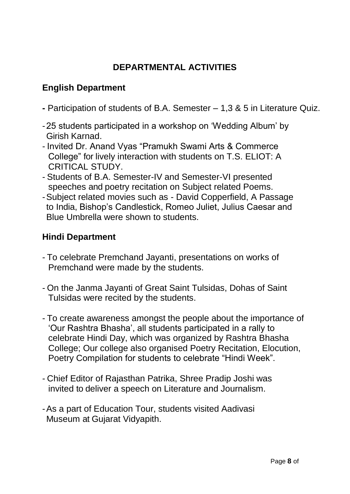## **DEPARTMENTAL ACTIVITIES**

## **English Department**

- **-** Participation of students of B.A. Semester 1,3 & 5 in Literature Quiz.
- -25 students participated in a workshop on "Wedding Album" by Girish Karnad.
- Invited Dr. Anand Vyas "Pramukh Swami Arts & Commerce College" for lively interaction with students on T.S. ELIOT: A CRITICAL STUDY.
- Students of B.A. Semester-IV and Semester-VI presented speeches and poetry recitation on Subject related Poems.
- -Subject related movies such as David Copperfield, A Passage to India, Bishop"s Candlestick, Romeo Juliet, Julius Caesar and Blue Umbrella were shown to students.

#### **Hindi Department**

- To celebrate Premchand Jayanti, presentations on works of Premchand were made by the students.
- On the Janma Jayanti of Great Saint Tulsidas, Dohas of Saint Tulsidas were recited by the students.
- To create awareness amongst the people about the importance of "Our Rashtra Bhasha", all students participated in a rally to celebrate Hindi Day, which was organized by Rashtra Bhasha College; Our college also organised Poetry Recitation, Elocution, Poetry Compilation for students to celebrate "Hindi Week".
- Chief Editor of Rajasthan Patrika, Shree Pradip Joshi was invited to deliver a speech on Literature and Journalism.
- -As a part of Education Tour, students visited Aadivasi Museum at Gujarat Vidyapith.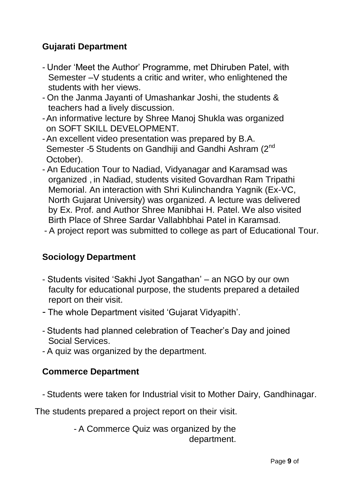## **Gujarati Department**

- Under "Meet the Author" Programme, met Dhiruben Patel, with Semester –V students a critic and writer, who enlightened the students with her views.
- On the Janma Jayanti of Umashankar Joshi, the students & teachers had a lively discussion.
- -An informative lecture by Shree Manoj Shukla was organized on SOFT SKILL DEVELOPMENT.
- -An excellent video presentation was prepared by B.A. Semester -5 Students on Gandhiji and Gandhi Ashram (2<sup>nd</sup> October).
- An Education Tour to Nadiad, Vidyanagar and Karamsad was organized , in Nadiad, students visited Govardhan Ram Tripathi Memorial. An interaction with Shri Kulinchandra Yagnik (Ex-VC, North Gujarat University) was organized. A lecture was delivered by Ex. Prof. and Author Shree Manibhai H. Patel. We also visited Birth Place of Shree Sardar Vallabhbhai Patel in Karamsad.
- A project report was submitted to college as part of Educational Tour.

#### **Sociology Department**

- Students visited "Sakhi Jyot Sangathan" an NGO by our own faculty for educational purpose, the students prepared a detailed report on their visit.
- The whole Department visited "Gujarat Vidyapith".
- Students had planned celebration of Teacher"s Day and joined Social Services.
- A quiz was organized by the department.

#### **Commerce Department**

- Students were taken for Industrial visit to Mother Dairy, Gandhinagar.

The students prepared a project report on their visit.

- A Commerce Quiz was organized by the department.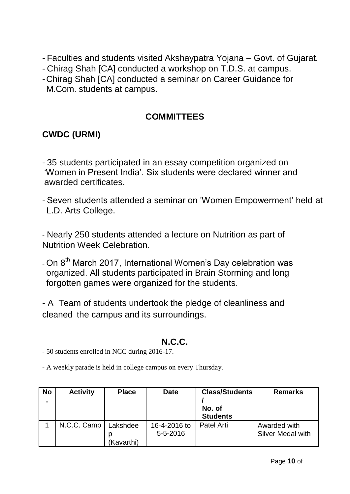- Faculties and students visited Akshaypatra Yojana Govt. of Gujarat.
- Chirag Shah [CA] conducted a workshop on T.D.S. at campus.
- -Chirag Shah [CA] conducted a seminar on Career Guidance for
	- M.Com. students at campus.

### **COMMITTEES**

## **CWDC (URMI)**

- 35 students participated in an essay competition organized on "Women in Present India". Six students were declared winner and awarded certificates.

- Seven students attended a seminar on "Women Empowerment" held at L.D. Arts College.

- Nearly 250 students attended a lecture on Nutrition as part of Nutrition Week Celebration.

- On 8<sup>th</sup> March 2017, International Women's Day celebration was organized. All students participated in Brain Storming and long forgotten games were organized for the students.

- A Team of students undertook the pledge of cleanliness and cleaned the campus and its surroundings.

## **N.C.C.**

- 50 students enrolled in NCC during 2016-17.

- A weekly parade is held in college campus on every Thursday.

| <b>No</b> | <b>Activity</b> | <b>Place</b>           | <b>Date</b>                    | <b>Class/Students</b><br>No. of<br><b>Students</b> | <b>Remarks</b>                           |
|-----------|-----------------|------------------------|--------------------------------|----------------------------------------------------|------------------------------------------|
|           | N.C.C. Camp     | Lakshdee<br>(Kavarthi) | 16-4-2016 to<br>$5 - 5 - 2016$ | Patel Arti                                         | Awarded with<br><b>Silver Medal with</b> |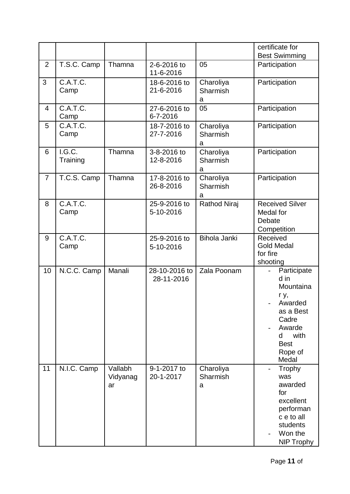|                |                    |                           |                             |                            | certificate for<br><b>Best Swimming</b>                                                                                             |
|----------------|--------------------|---------------------------|-----------------------------|----------------------------|-------------------------------------------------------------------------------------------------------------------------------------|
| $\overline{2}$ | T.S.C. Camp        | Thamna                    | 2-6-2016 to<br>11-6-2016    | 05                         | Participation                                                                                                                       |
| 3              | C.A.T.C.<br>Camp   |                           | 18-6-2016 to<br>21-6-2016   | Charoliya<br>Sharmish<br>a | Participation                                                                                                                       |
| $\overline{4}$ | C.A.T.C.<br>Camp   |                           | 27-6-2016 to<br>6-7-2016    | 05                         | Participation                                                                                                                       |
| 5              | C.A.T.C.<br>Camp   |                           | 18-7-2016 to<br>27-7-2016   | Charoliya<br>Sharmish<br>a | Participation                                                                                                                       |
| 6              | I.G.C.<br>Training | Thamna                    | 3-8-2016 to<br>12-8-2016    | Charoliya<br>Sharmish<br>a | Participation                                                                                                                       |
| $\overline{7}$ | T.C.S. Camp        | Thamna                    | 17-8-2016 to<br>26-8-2016   | Charoliya<br>Sharmish<br>a | Participation                                                                                                                       |
| 8              | C.A.T.C.<br>Camp   |                           | 25-9-2016 to<br>5-10-2016   | <b>Rathod Niraj</b>        | <b>Received Silver</b><br>Medal for<br>Debate<br>Competition                                                                        |
| 9              | C.A.T.C.<br>Camp   |                           | 25-9-2016 to<br>5-10-2016   | <b>Bihola Janki</b>        | Received<br><b>Gold Medal</b><br>for fire<br>shooting                                                                               |
| 10             | N.C.C. Camp        | Manali                    | 28-10-2016 to<br>28-11-2016 | Zala Poonam                | Participate<br>d in<br>Mountaina<br>r y,<br>Awarded<br>as a Best<br>Cadre<br>Awarde<br>with<br>d<br><b>Best</b><br>Rope of<br>Medal |
| 11             | N.I.C. Camp        | Vallabh<br>Vidyanag<br>ar | 9-1-2017 to<br>20-1-2017    | Charoliya<br>Sharmish<br>a | Trophy<br>was<br>awarded<br>for<br>excellent<br>performan<br>c e to all<br>students<br>Won the<br><b>NIP Trophy</b>                 |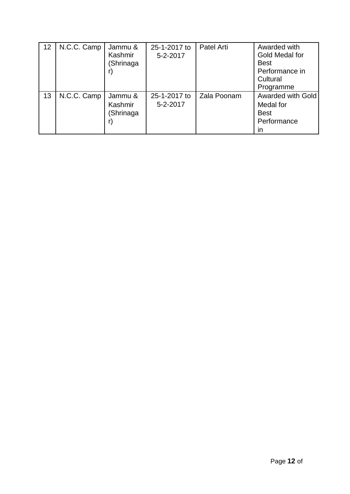| 12 | N.C.C. Camp | Jammu &<br>Kashmir<br>(Shrinaga | 25-1-2017 to<br>5-2-2017 | Patel Arti  | Awarded with<br>Gold Medal for<br><b>Best</b><br>Performance in<br>Cultural<br>Programme |
|----|-------------|---------------------------------|--------------------------|-------------|------------------------------------------------------------------------------------------|
| 13 | N.C.C. Camp | Jammu &<br>Kashmir<br>(Shrinaga | 25-1-2017 to<br>5-2-2017 | Zala Poonam | <b>Awarded with Gold</b><br>Medal for<br><b>Best</b><br>Performance<br>ın                |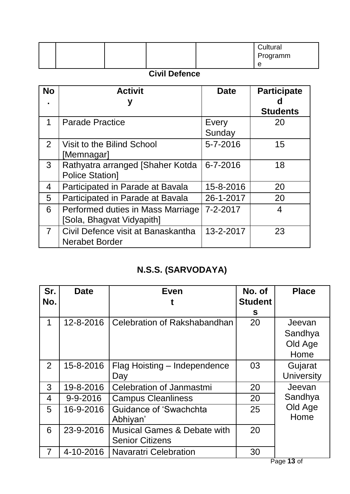|  |  | Cultural<br>Programm |
|--|--|----------------------|
|  |  | e                    |

## **Civil Defence**

| <b>No</b>      | <b>Activit</b>                     | <b>Date</b> | <b>Participate</b> |
|----------------|------------------------------------|-------------|--------------------|
|                |                                    |             | Ω                  |
|                |                                    |             | <b>Students</b>    |
| 1              | <b>Parade Practice</b>             | Every       | 20                 |
|                |                                    | Sunday      |                    |
| $\overline{2}$ | Visit to the Bilind School         | 5-7-2016    | 15                 |
|                | [Memnagar]                         |             |                    |
| 3 <sup>1</sup> | Rathyatra arranged [Shaher Kotda   | 6-7-2016    | 18                 |
|                | <b>Police Station1</b>             |             |                    |
| 4              | Participated in Parade at Bavala   | 15-8-2016   | 20                 |
| 5              | Participated in Parade at Bavala   | 26-1-2017   | 20                 |
| 6              | Performed duties in Mass Marriage  | 7-2-2017    | 4                  |
|                | [Sola, Bhagvat Vidyapith]          |             |                    |
| $\overline{7}$ | Civil Defence visit at Banaskantha | 13-2-2017   | 23                 |
|                | <b>Nerabet Border</b>              |             |                    |

# **N.S.S. (SARVODAYA)**

| Sr.            | <b>Date</b> | <b>Even</b>                            | No. of         | <b>Place</b>      |
|----------------|-------------|----------------------------------------|----------------|-------------------|
| No.            |             |                                        | <b>Student</b> |                   |
|                |             |                                        | S              |                   |
| 1              | 12-8-2016   | Celebration of Rakshabandhan           | 20             | Jeevan            |
|                |             |                                        |                | Sandhya           |
|                |             |                                        |                | Old Age           |
|                |             |                                        |                | Home              |
| $\overline{2}$ | 15-8-2016   | Flag Hoisting – Independence           | 03             | Gujarat           |
|                |             | Day                                    |                | <b>University</b> |
| 3              | 19-8-2016   | <b>Celebration of Janmastmi</b>        | 20             | Jeevan            |
| $\overline{4}$ | 9-9-2016    | <b>Campus Cleanliness</b>              | 20             | Sandhya           |
| 5              | 16-9-2016   | Guidance of 'Swachchta                 | 25             | Old Age           |
|                |             | Abhiyan'                               |                | Home              |
| 6              | 23-9-2016   | <b>Musical Games &amp; Debate with</b> | 20             |                   |
|                |             | <b>Senior Citizens</b>                 |                |                   |
| $\overline{7}$ | 4-10-2016   | <b>Navaratri Celebration</b>           | 30             |                   |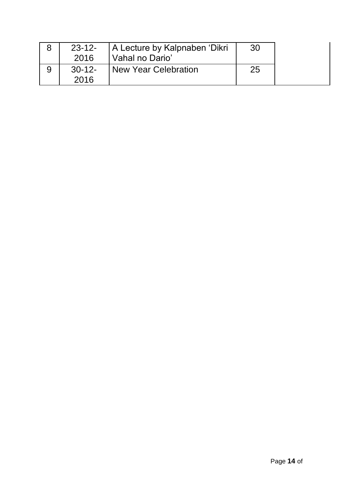|   | 23-12-<br>2016  | A Lecture by Kalpnaben 'Dikri<br>Vahal no Dario' | -30 |  |
|---|-----------------|--------------------------------------------------|-----|--|
| 9 | $30-12$<br>2016 | <b>New Year Celebration</b>                      | 25  |  |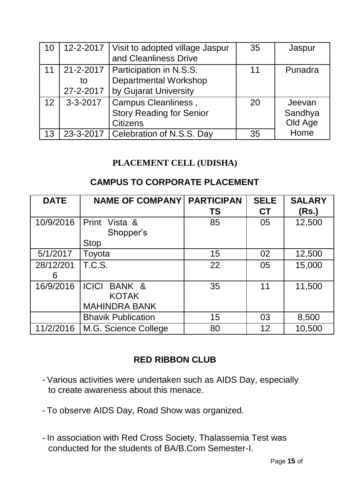| 10 |                              | 12-2-2017   Visit to adopted village Jaspur<br>and Cleanliness Drive             | 35 | Jaspur                       |
|----|------------------------------|----------------------------------------------------------------------------------|----|------------------------------|
| 11 | 21-2-2017<br>to<br>27-2-2017 | Participation in N.S.S.<br><b>Departmental Workshop</b><br>by Gujarat University | 11 | Punadra                      |
| 12 | $3 - 3 - 2017$               | Campus Cleanliness,<br><b>Story Reading for Senior</b><br><b>Citizens</b>        | 20 | Jeevan<br>Sandhya<br>Old Age |
| 13 | 23-3-2017                    | Celebration of N.S.S. Day                                                        | 35 | Home                         |

#### **PLACEMENT CELL (UDISHA)**

#### **CAMPUS TO CORPORATE PLACEMENT**

| <b>DATE</b>    | <b>NAME OF COMPANY!</b>                                        | <b>PARTICIPAN</b><br><b>TS</b> | <b>SELE</b><br><b>CT</b> | <b>SALARY</b><br>(Rs.) |
|----------------|----------------------------------------------------------------|--------------------------------|--------------------------|------------------------|
| 10/9/2016      | Print Vista &<br>Shopper's<br><b>Stop</b>                      | 85                             | 05                       | 12,500                 |
| 5/1/2017       | Toyota                                                         | 15                             | 02                       | 12,500                 |
| 28/12/201<br>6 | <b>T.C.S.</b>                                                  | 22                             | 05                       | 15,000                 |
| 16/9/2016      | <b>ICICI</b><br>BANK &<br><b>KOTAK</b><br><b>MAHINDRA BANK</b> | 35                             | 11                       | 11,500                 |
|                | <b>Bhavik Publication</b>                                      | 15                             | 03                       | 8,500                  |
| 11/2/2016      | M.G. Science College                                           | 80                             | 12                       | 10,500                 |

#### **RED RIBBON CLUB**

- Various activities were undertaken such as AIDS Day, especially to create awareness about this menace.
- To observe AIDS Day, Road Show was organized.
- In association with Red Cross Society, Thalassemia Test was conducted for the students of BA/B.Com Semester-I.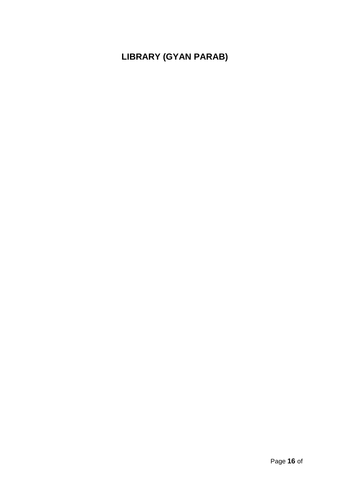# **LIBRARY (GYAN PARAB)**